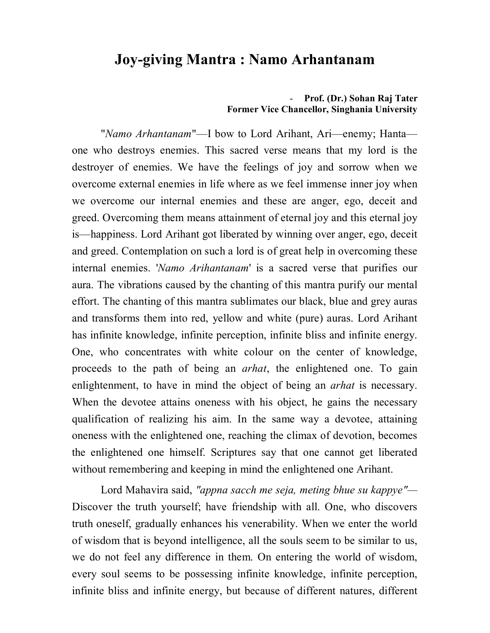## **Joy-giving Mantra : Namo Arhantanam**

## - **Prof. (Dr.) Sohan Raj Tater Former Vice Chancellor, Singhania University**

"*Namo Arhantanam*"—I bow to Lord Arihant, Ari—enemy; Hanta one who destroys enemies. This sacred verse means that my lord is the destroyer of enemies. We have the feelings of joy and sorrow when we overcome external enemies in life where as we feel immense inner joy when we overcome our internal enemies and these are anger, ego, deceit and greed. Overcoming them means attainment of eternal joy and this eternal joy is—happiness. Lord Arihant got liberated by winning over anger, ego, deceit and greed. Contemplation on such a lord is of great help in overcoming these internal enemies. '*Namo Arihantanam*' is a sacred verse that purifies our aura. The vibrations caused by the chanting of this mantra purify our mental effort. The chanting of this mantra sublimates our black, blue and grey auras and transforms them into red, yellow and white (pure) auras. Lord Arihant has infinite knowledge, infinite perception, infinite bliss and infinite energy. One, who concentrates with white colour on the center of knowledge, proceeds to the path of being an *arhat*, the enlightened one. To gain enlightenment, to have in mind the object of being an *arhat* is necessary. When the devotee attains oneness with his object, he gains the necessary qualification of realizing his aim. In the same way a devotee, attaining oneness with the enlightened one, reaching the climax of devotion, becomes the enlightened one himself. Scriptures say that one cannot get liberated without remembering and keeping in mind the enlightened one Arihant.

Lord Mahavira said, *"appna sacch me seja, meting bhue su kappye"—* Discover the truth yourself; have friendship with all. One, who discovers truth oneself, gradually enhances his venerability. When we enter the world of wisdom that is beyond intelligence, all the souls seem to be similar to us, we do not feel any difference in them. On entering the world of wisdom, every soul seems to be possessing infinite knowledge, infinite perception, infinite bliss and infinite energy, but because of different natures, different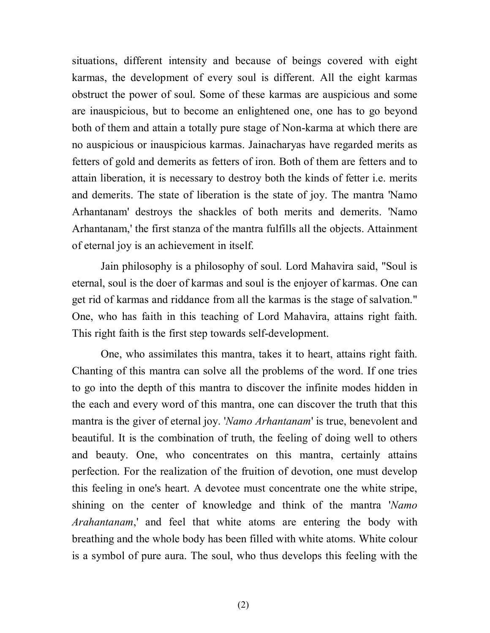situations, different intensity and because of beings covered with eight karmas, the development of every soul is different. All the eight karmas obstruct the power of soul. Some of these karmas are auspicious and some are inauspicious, but to become an enlightened one, one has to go beyond both of them and attain a totally pure stage of Non-karma at which there are no auspicious or inauspicious karmas. Jainacharyas have regarded merits as fetters of gold and demerits as fetters of iron. Both of them are fetters and to attain liberation, it is necessary to destroy both the kinds of fetter i.e. merits and demerits. The state of liberation is the state of joy. The mantra 'Namo Arhantanam' destroys the shackles of both merits and demerits. 'Namo Arhantanam,' the first stanza of the mantra fulfills all the objects. Attainment of eternal joy is an achievement in itself.

Jain philosophy is a philosophy of soul. Lord Mahavira said, "Soul is eternal, soul is the doer of karmas and soul is the enjoyer of karmas. One can get rid of karmas and riddance from all the karmas is the stage of salvation." One, who has faith in this teaching of Lord Mahavira, attains right faith. This right faith is the first step towards self-development.

One, who assimilates this mantra, takes it to heart, attains right faith. Chanting of this mantra can solve all the problems of the word. If one tries to go into the depth of this mantra to discover the infinite modes hidden in the each and every word of this mantra, one can discover the truth that this mantra is the giver of eternal joy. '*Namo Arhantanam*' is true, benevolent and beautiful. It is the combination of truth, the feeling of doing well to others and beauty. One, who concentrates on this mantra, certainly attains perfection. For the realization of the fruition of devotion, one must develop this feeling in one's heart. A devotee must concentrate one the white stripe, shining on the center of knowledge and think of the mantra '*Namo Arahantanam*,' and feel that white atoms are entering the body with breathing and the whole body has been filled with white atoms. White colour is a symbol of pure aura. The soul, who thus develops this feeling with the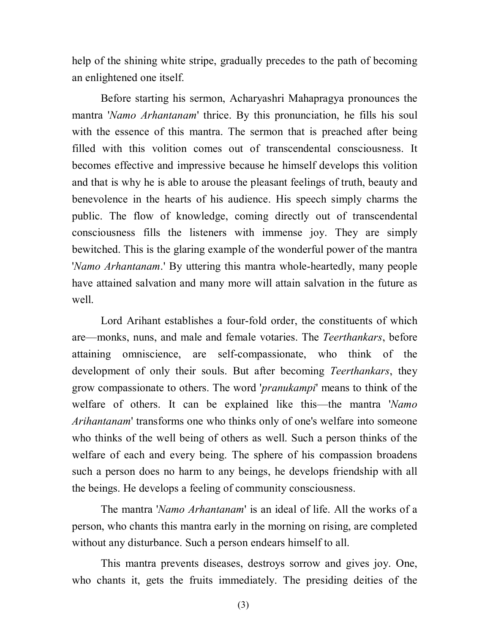help of the shining white stripe, gradually precedes to the path of becoming an enlightened one itself.

Before starting his sermon, Acharyashri Mahapragya pronounces the mantra '*Namo Arhantanam*' thrice. By this pronunciation, he fills his soul with the essence of this mantra. The sermon that is preached after being filled with this volition comes out of transcendental consciousness. It becomes effective and impressive because he himself develops this volition and that is why he is able to arouse the pleasant feelings of truth, beauty and benevolence in the hearts of his audience. His speech simply charms the public. The flow of knowledge, coming directly out of transcendental consciousness fills the listeners with immense joy. They are simply bewitched. This is the glaring example of the wonderful power of the mantra '*Namo Arhantanam*.' By uttering this mantra whole-heartedly, many people have attained salvation and many more will attain salvation in the future as well.

Lord Arihant establishes a four-fold order, the constituents of which are—monks, nuns, and male and female votaries. The *Teerthankars*, before attaining omniscience, are self-compassionate, who think of the development of only their souls. But after becoming *Teerthankars*, they grow compassionate to others. The word '*pranukampi*' means to think of the welfare of others. It can be explained like this—the mantra '*Namo Arihantanam*' transforms one who thinks only of one's welfare into someone who thinks of the well being of others as well. Such a person thinks of the welfare of each and every being. The sphere of his compassion broadens such a person does no harm to any beings, he develops friendship with all the beings. He develops a feeling of community consciousness.

The mantra '*Namo Arhantanam*' is an ideal of life. All the works of a person, who chants this mantra early in the morning on rising, are completed without any disturbance. Such a person endears himself to all.

This mantra prevents diseases, destroys sorrow and gives joy. One, who chants it, gets the fruits immediately. The presiding deities of the